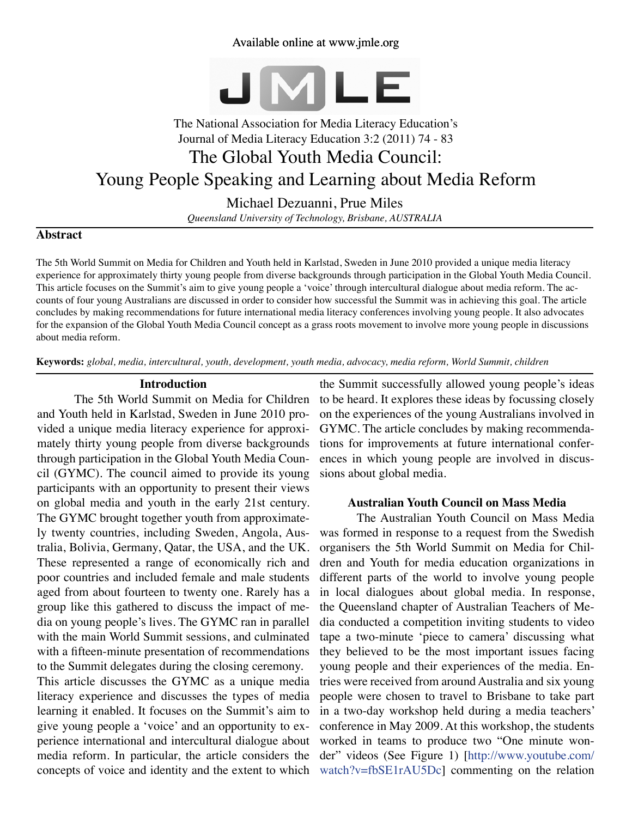## Available online at www.jmle.org



# The National Association for Media Literacy Education's Journal of Media Literacy Education 3:2 (2011) 74 - 83 The Global Youth Media Council: Young People Speaking and Learning about Media Reform

Michael Dezuanni, Prue Miles *Queensland University of Technology, Brisbane, AUSTRALIA*

## **Abstract**

The 5th World Summit on Media for Children and Youth held in Karlstad, Sweden in June 2010 provided a unique media literacy experience for approximately thirty young people from diverse backgrounds through participation in the Global Youth Media Council. This article focuses on the Summit's aim to give young people a 'voice' through intercultural dialogue about media reform. The accounts of four young Australians are discussed in order to consider how successful the Summit was in achieving this goal. The article concludes by making recommendations for future international media literacy conferences involving young people. It also advocates for the expansion of the Global Youth Media Council concept as a grass roots movement to involve more young people in discussions about media reform.

**Keywords:** *global, media, intercultural, youth, development, youth media, advocacy, media reform, World Summit, children*

#### **Introduction**

The 5th World Summit on Media for Children and Youth held in Karlstad, Sweden in June 2010 provided a unique media literacy experience for approximately thirty young people from diverse backgrounds through participation in the Global Youth Media Council (GYMC). The council aimed to provide its young participants with an opportunity to present their views on global media and youth in the early 21st century. The GYMC brought together youth from approximately twenty countries, including Sweden, Angola, Australia, Bolivia, Germany, Qatar, the USA, and the UK. These represented a range of economically rich and poor countries and included female and male students aged from about fourteen to twenty one. Rarely has a group like this gathered to discuss the impact of media on young people's lives. The GYMC ran in parallel with the main World Summit sessions, and culminated with a fifteen-minute presentation of recommendations to the Summit delegates during the closing ceremony.

This article discusses the GYMC as a unique media literacy experience and discusses the types of media learning it enabled. It focuses on the Summit's aim to give young people a 'voice' and an opportunity to experience international and intercultural dialogue about media reform. In particular, the article considers the concepts of voice and identity and the extent to which

the Summit successfully allowed young people's ideas to be heard. It explores these ideas by focussing closely on the experiences of the young Australians involved in GYMC. The article concludes by making recommendations for improvements at future international conferences in which young people are involved in discussions about global media.

#### **Australian Youth Council on Mass Media**

The Australian Youth Council on Mass Media was formed in response to a request from the Swedish organisers the 5th World Summit on Media for Children and Youth for media education organizations in different parts of the world to involve young people in local dialogues about global media. In response, the Queensland chapter of Australian Teachers of Media conducted a competition inviting students to video tape a two-minute 'piece to camera' discussing what they believed to be the most important issues facing young people and their experiences of the media. Entries were received from around Australia and six young people were chosen to travel to Brisbane to take part in a two-day workshop held during a media teachers' conference in May 2009. At this workshop, the students worked in teams to produce two "One minute wonder" videos (See Figure 1) [\[http://www.youtube.com/](http://www.youtube.com/watch?v=fbSE1rAU5Dc) [watch?v=fbSE1rAU5Dc\]](http://www.youtube.com/watch?v=fbSE1rAU5Dc) commenting on the relation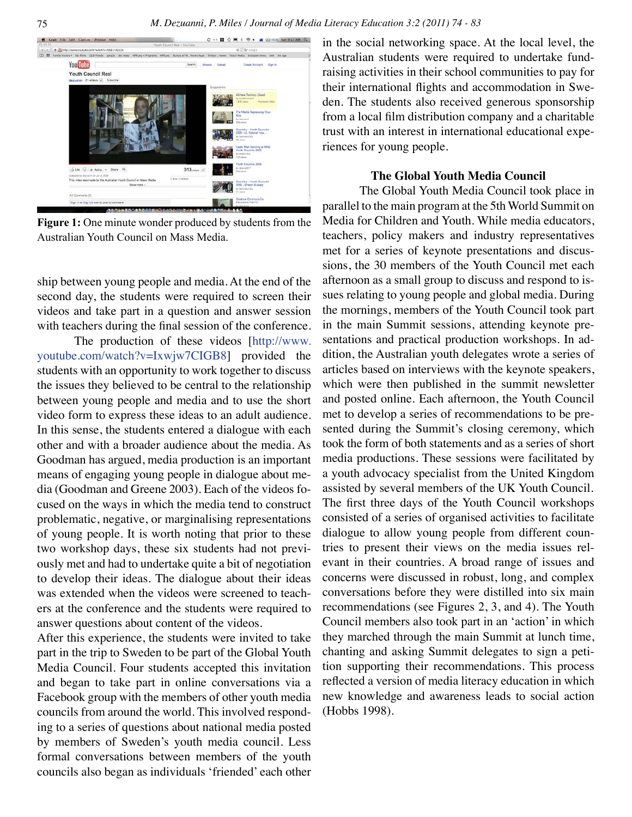

**Figure 1:** One minute wonder produced by students from the Australian Youth Council on Mass Media.

ship between young people and media. At the end of the second day, the students were required to screen their videos and take part in a question and answer session with teachers during the final session of the conference.

The production of these videos [[http://www.](http://www.youtube.com/watch?v=Ixwjw7CIGB8) [youtube.com/watch?v=Ixwjw7CIGB8\]](http://www.youtube.com/watch?v=Ixwjw7CIGB8) provided the students with an opportunity to work together to discuss the issues they believed to be central to the relationship between young people and media and to use the short video form to express these ideas to an adult audience. In this sense, the students entered a dialogue with each other and with a broader audience about the media. As Goodman has argued, media production is an important means of engaging young people in dialogue about media (Goodman and Greene 2003). Each of the videos focused on the ways in which the media tend to construct problematic, negative, or marginalising representations of young people. It is worth noting that prior to these two workshop days, these six students had not previously met and had to undertake quite a bit of negotiation to develop their ideas. The dialogue about their ideas was extended when the videos were screened to teachers at the conference and the students were required to answer questions about content of the videos.

After this experience, the students were invited to take part in the trip to Sweden to be part of the Global Youth Media Council. Four students accepted this invitation and began to take part in online conversations via a Facebook group with the members of other youth media councils from around the world. This involved responding to a series of questions about national media posted by members of Sweden's youth media council. Less formal conversations between members of the youth councils also began as individuals 'friended' each other in the social networking space. At the local level, the Australian students were required to undertake fundraising activities in their school communities to pay for their international flights and accommodation in Sweden. The students also received generous sponsorship from a local film distribution company and a charitable trust with an interest in international educational experiences for young people.

#### **The Global Youth Media Council**

The Global Youth Media Council took place in parallel to the main program at the 5th World Summit on Media for Children and Youth. While media educators, teachers, policy makers and industry representatives met for a series of keynote presentations and discussions, the 30 members of the Youth Council met each afternoon as a small group to discuss and respond to issues relating to young people and global media. During the mornings, members of the Youth Council took part in the main Summit sessions, attending keynote presentations and practical production workshops. In addition, the Australian youth delegates wrote a series of articles based on interviews with the keynote speakers, which were then published in the summit newsletter and posted online. Each afternoon, the Youth Council met to develop a series of recommendations to be presented during the Summit's closing ceremony, which took the form of both statements and as a series of short media productions. These sessions were facilitated by a youth advocacy specialist from the United Kingdom assisted by several members of the UK Youth Council. The first three days of the Youth Council workshops consisted of a series of organised activities to facilitate dialogue to allow young people from different countries to present their views on the media issues relevant in their countries. A broad range of issues and concerns were discussed in robust, long, and complex conversations before they were distilled into six main recommendations (see Figures 2, 3, and 4). The Youth Council members also took part in an 'action' in which they marched through the main Summit at lunch time, chanting and asking Summit delegates to sign a petition supporting their recommendations. This process reflected a version of media literacy education in which new knowledge and awareness leads to social action (Hobbs 1998).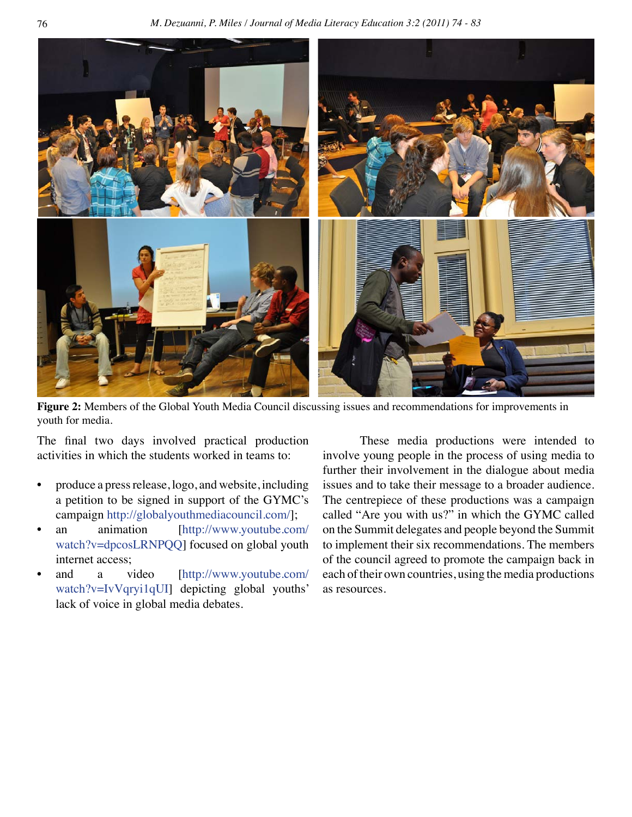76 *M. Dezuanni, P. Miles / Journal of Media Literacy Education 3:2 (2011) 74 - 83*



**Figure 2:** Members of the Global Youth Media Council discussing issues and recommendations for improvements in youth for media.

The final two days involved practical production activities in which the students worked in teams to:

- produce a press release, logo, and website, including a petition to be signed in support of the GYMC's campaign <http://globalyouthmediacouncil.com/>];
- an animation [[http://www.youtube.com/](http://www.youtube.com/watch?v=dpcosLRNPQQ) [watch?v=dpcosLRNPQQ\]](http://www.youtube.com/watch?v=dpcosLRNPQQ) focused on global youth internet access;
- and a video [[http://www.youtube.com/](http://www.youtube.com/watch?v=IvVqryi1qUI) [watch?v=IvVqryi1qUI](http://www.youtube.com/watch?v=IvVqryi1qUI)] depicting global youths' lack of voice in global media debates.

These media productions were intended to involve young people in the process of using media to further their involvement in the dialogue about media issues and to take their message to a broader audience. The centrepiece of these productions was a campaign called "Are you with us?" in which the GYMC called on the Summit delegates and people beyond the Summit to implement their six recommendations. The members of the council agreed to promote the campaign back in each of their own countries, using the media productions as resources.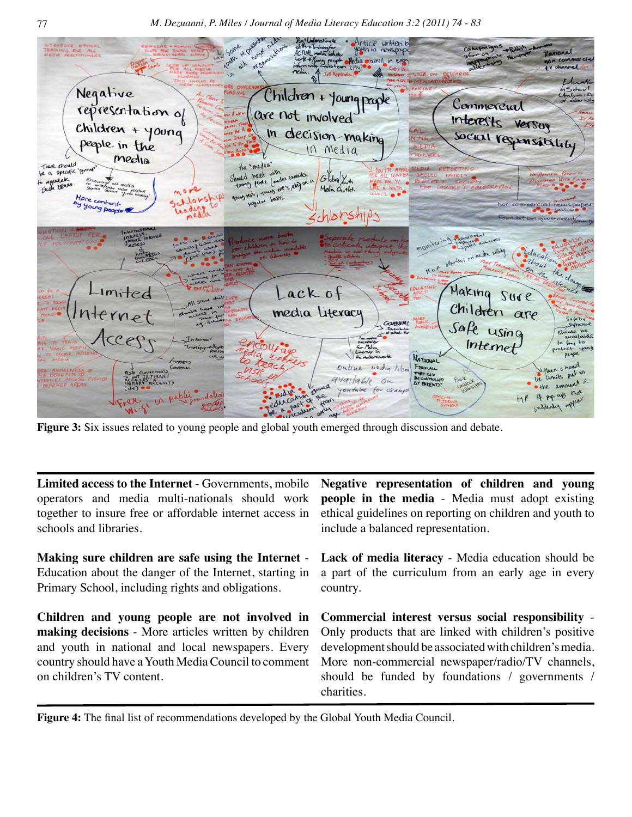

**Figure 3:** Six issues related to young people and global youth emerged through discussion and debate.

| operators and media multi-nationals should work<br>together to insure free or affordable internet access in<br>schools and libraries.                                                                 | Limited access to the Internet - Governments, mobile Negative representation of children and young<br>people in the media - Media must adopt existing<br>ethical guidelines on reporting on children and youth to<br>include a balanced representation.                                                                                    |
|-------------------------------------------------------------------------------------------------------------------------------------------------------------------------------------------------------|--------------------------------------------------------------------------------------------------------------------------------------------------------------------------------------------------------------------------------------------------------------------------------------------------------------------------------------------|
| Making sure children are safe using the Internet -<br>Education about the danger of the Internet, starting in<br>Primary School, including rights and obligations.                                    | Lack of media literacy - Media education should be<br>a part of the curriculum from an early age in every<br>country.                                                                                                                                                                                                                      |
| <b>making decisions</b> - More articles written by children<br>and youth in national and local newspapers. Every<br>country should have a Youth Media Council to comment<br>on children's TV content. | Children and young people are not involved in Commercial interest versus social responsibility -<br>Only products that are linked with children's positive<br>development should be associated with children's media.<br>More non-commercial newspaper/radio/TV channels,<br>should be funded by foundations / governments /<br>charities. |

**Figure 4:** The final list of recommendations developed by the Global Youth Media Council.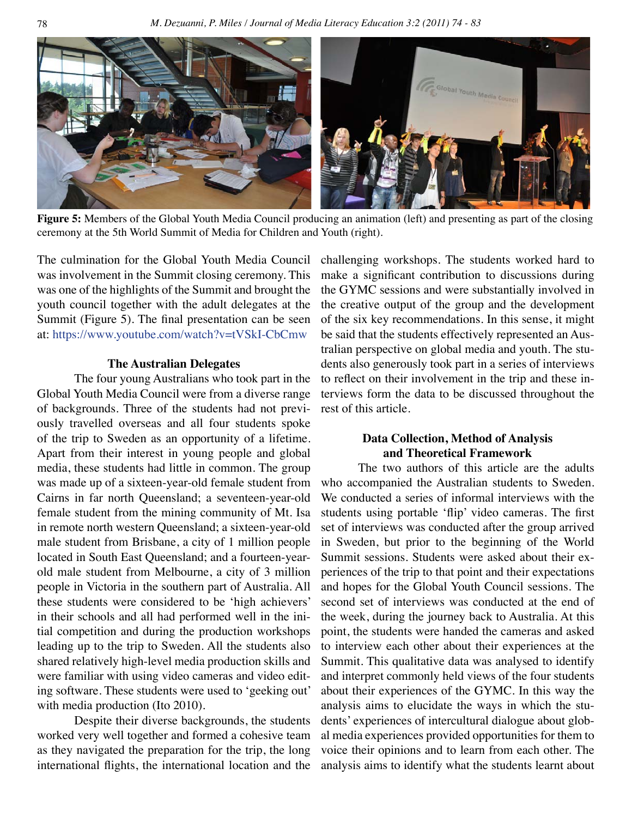

**Figure 5:** Members of the Global Youth Media Council producing an animation (left) and presenting as part of the closing ceremony at the 5th World Summit of Media for Children and Youth (right).

The culmination for the Global Youth Media Council was involvement in the Summit closing ceremony. This was one of the highlights of the Summit and brought the youth council together with the adult delegates at the Summit (Figure 5). The final presentation can be seen at: <https://www.youtube.com/watch?v=tVSkI-CbCmw>

#### **The Australian Delegates**

The four young Australians who took part in the Global Youth Media Council were from a diverse range of backgrounds. Three of the students had not previously travelled overseas and all four students spoke of the trip to Sweden as an opportunity of a lifetime. Apart from their interest in young people and global media, these students had little in common. The group was made up of a sixteen-year-old female student from Cairns in far north Queensland; a seventeen-year-old female student from the mining community of Mt. Isa in remote north western Queensland; a sixteen-year-old male student from Brisbane, a city of 1 million people located in South East Queensland; and a fourteen-yearold male student from Melbourne, a city of 3 million people in Victoria in the southern part of Australia. All these students were considered to be 'high achievers' in their schools and all had performed well in the initial competition and during the production workshops leading up to the trip to Sweden. All the students also shared relatively high-level media production skills and were familiar with using video cameras and video editing software. These students were used to 'geeking out' with media production (Ito 2010).

Despite their diverse backgrounds, the students worked very well together and formed a cohesive team as they navigated the preparation for the trip, the long international flights, the international location and the challenging workshops. The students worked hard to make a significant contribution to discussions during the GYMC sessions and were substantially involved in the creative output of the group and the development of the six key recommendations. In this sense, it might be said that the students effectively represented an Australian perspective on global media and youth. The students also generously took part in a series of interviews to reflect on their involvement in the trip and these interviews form the data to be discussed throughout the rest of this article.

## **Data Collection, Method of Analysis and Theoretical Framework**

The two authors of this article are the adults who accompanied the Australian students to Sweden. We conducted a series of informal interviews with the students using portable 'flip' video cameras. The first set of interviews was conducted after the group arrived in Sweden, but prior to the beginning of the World Summit sessions. Students were asked about their experiences of the trip to that point and their expectations and hopes for the Global Youth Council sessions. The second set of interviews was conducted at the end of the week, during the journey back to Australia. At this point, the students were handed the cameras and asked to interview each other about their experiences at the Summit. This qualitative data was analysed to identify and interpret commonly held views of the four students about their experiences of the GYMC. In this way the analysis aims to elucidate the ways in which the students' experiences of intercultural dialogue about global media experiences provided opportunities for them to voice their opinions and to learn from each other. The analysis aims to identify what the students learnt about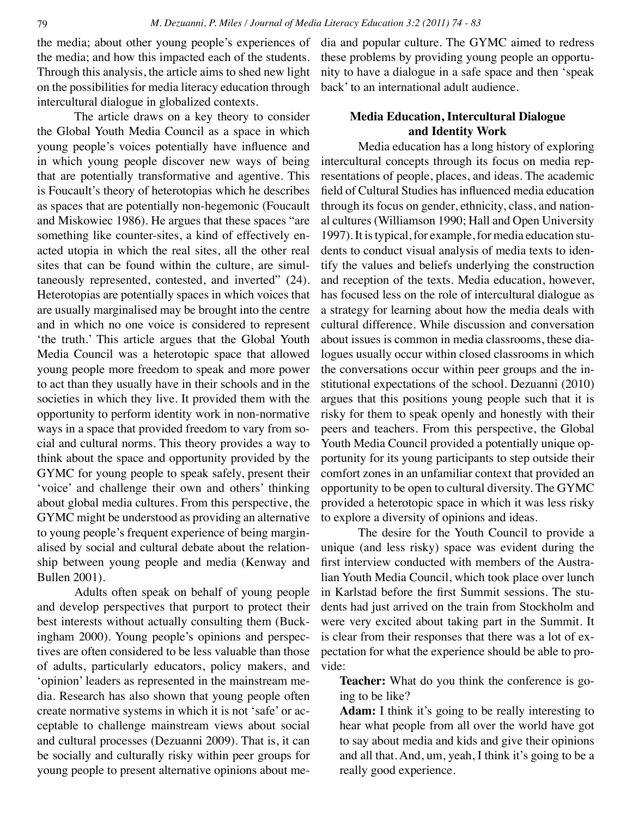the media; about other young people's experiences of the media; and how this impacted each of the students. Through this analysis, the article aims to shed new light on the possibilities for media literacy education through intercultural dialogue in globalized contexts.

The article draws on a key theory to consider the Global Youth Media Council as a space in which young people's voices potentially have influence and in which young people discover new ways of being that are potentially transformative and agentive. This is Foucault's theory of heterotopias which he describes as spaces that are potentially non-hegemonic (Foucault and Miskowiec 1986). He argues that these spaces "are something like counter-sites, a kind of effectively enacted utopia in which the real sites, all the other real sites that can be found within the culture, are simultaneously represented, contested, and inverted" (24). Heterotopias are potentially spaces in which voices that are usually marginalised may be brought into the centre and in which no one voice is considered to represent 'the truth.' This article argues that the Global Youth Media Council was a heterotopic space that allowed young people more freedom to speak and more power to act than they usually have in their schools and in the societies in which they live. It provided them with the opportunity to perform identity work in non-normative ways in a space that provided freedom to vary from social and cultural norms. This theory provides a way to think about the space and opportunity provided by the GYMC for young people to speak safely, present their 'voice' and challenge their own and others' thinking about global media cultures. From this perspective, the GYMC might be understood as providing an alternative to young people's frequent experience of being marginalised by social and cultural debate about the relationship between young people and media (Kenway and Bullen 2001).

Adults often speak on behalf of young people and develop perspectives that purport to protect their best interests without actually consulting them (Buckingham 2000). Young people's opinions and perspectives are often considered to be less valuable than those of adults, particularly educators, policy makers, and 'opinion' leaders as represented in the mainstream media. Research has also shown that young people often create normative systems in which it is not 'safe' or acceptable to challenge mainstream views about social and cultural processes (Dezuanni 2009). That is, it can be socially and culturally risky within peer groups for young people to present alternative opinions about media and popular culture. The GYMC aimed to redress these problems by providing young people an opportunity to have a dialogue in a safe space and then 'speak back' to an international adult audience.

## **Media Education, Intercultural Dialogue and Identity Work**

Media education has a long history of exploring intercultural concepts through its focus on media representations of people, places, and ideas. The academic field of Cultural Studies has influenced media education through its focus on gender, ethnicity, class, and national cultures (Williamson 1990; Hall and Open University 1997). It is typical, for example, for media education students to conduct visual analysis of media texts to identify the values and beliefs underlying the construction and reception of the texts. Media education, however, has focused less on the role of intercultural dialogue as a strategy for learning about how the media deals with cultural difference. While discussion and conversation about issues is common in media classrooms, these dialogues usually occur within closed classrooms in which the conversations occur within peer groups and the institutional expectations of the school. Dezuanni (2010) argues that this positions young people such that it is risky for them to speak openly and honestly with their peers and teachers. From this perspective, the Global Youth Media Council provided a potentially unique opportunity for its young participants to step outside their comfort zones in an unfamiliar context that provided an opportunity to be open to cultural diversity. The GYMC provided a heterotopic space in which it was less risky to explore a diversity of opinions and ideas.

The desire for the Youth Council to provide a unique (and less risky) space was evident during the first interview conducted with members of the Australian Youth Media Council, which took place over lunch in Karlstad before the first Summit sessions. The students had just arrived on the train from Stockholm and were very excited about taking part in the Summit. It is clear from their responses that there was a lot of expectation for what the experience should be able to provide:

**Teacher:** What do you think the conference is going to be like?

**Adam:** I think it's going to be really interesting to hear what people from all over the world have got to say about media and kids and give their opinions and all that. And, um, yeah, I think it's going to be a really good experience.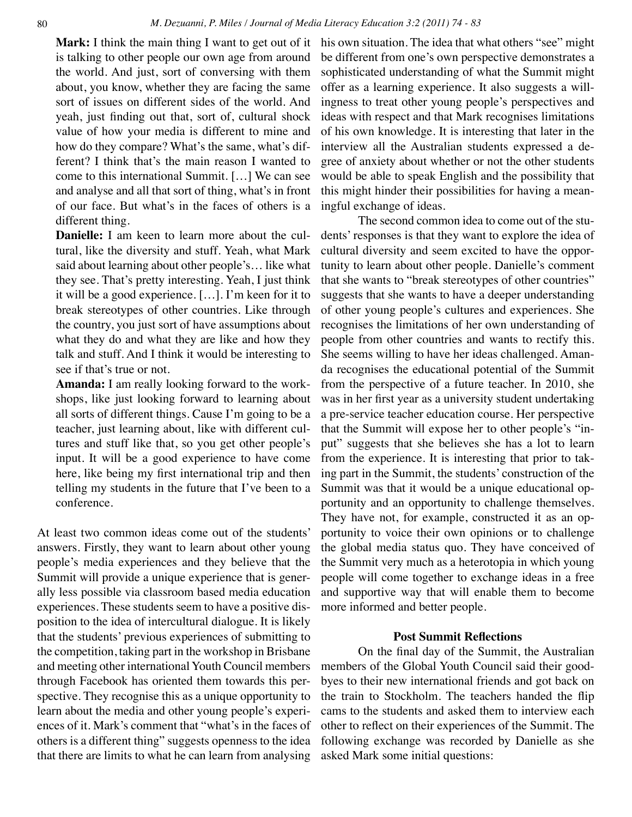**Mark:** I think the main thing I want to get out of it is talking to other people our own age from around the world. And just, sort of conversing with them about, you know, whether they are facing the same sort of issues on different sides of the world. And yeah, just finding out that, sort of, cultural shock value of how your media is different to mine and how do they compare? What's the same, what's different? I think that's the main reason I wanted to come to this international Summit. […] We can see and analyse and all that sort of thing, what's in front of our face. But what's in the faces of others is a different thing.

**Danielle:** I am keen to learn more about the cultural, like the diversity and stuff. Yeah, what Mark said about learning about other people's… like what they see. That's pretty interesting. Yeah, I just think it will be a good experience. […]. I'm keen for it to break stereotypes of other countries. Like through the country, you just sort of have assumptions about what they do and what they are like and how they talk and stuff. And I think it would be interesting to see if that's true or not.

**Amanda:** I am really looking forward to the workshops, like just looking forward to learning about all sorts of different things. Cause I'm going to be a teacher, just learning about, like with different cultures and stuff like that, so you get other people's input. It will be a good experience to have come here, like being my first international trip and then telling my students in the future that I've been to a conference.

At least two common ideas come out of the students' answers. Firstly, they want to learn about other young people's media experiences and they believe that the Summit will provide a unique experience that is generally less possible via classroom based media education experiences. These students seem to have a positive disposition to the idea of intercultural dialogue. It is likely that the students' previous experiences of submitting to the competition, taking part in the workshop in Brisbane and meeting other international Youth Council members through Facebook has oriented them towards this perspective. They recognise this as a unique opportunity to learn about the media and other young people's experiences of it. Mark's comment that "what's in the faces of others is a different thing" suggests openness to the idea that there are limits to what he can learn from analysing his own situation. The idea that what others "see" might be different from one's own perspective demonstrates a sophisticated understanding of what the Summit might offer as a learning experience. It also suggests a willingness to treat other young people's perspectives and ideas with respect and that Mark recognises limitations of his own knowledge. It is interesting that later in the interview all the Australian students expressed a degree of anxiety about whether or not the other students would be able to speak English and the possibility that this might hinder their possibilities for having a meaningful exchange of ideas.

The second common idea to come out of the students' responses is that they want to explore the idea of cultural diversity and seem excited to have the opportunity to learn about other people. Danielle's comment that she wants to "break stereotypes of other countries" suggests that she wants to have a deeper understanding of other young people's cultures and experiences. She recognises the limitations of her own understanding of people from other countries and wants to rectify this. She seems willing to have her ideas challenged. Amanda recognises the educational potential of the Summit from the perspective of a future teacher. In 2010, she was in her first year as a university student undertaking a pre-service teacher education course. Her perspective that the Summit will expose her to other people's "input" suggests that she believes she has a lot to learn from the experience. It is interesting that prior to taking part in the Summit, the students' construction of the Summit was that it would be a unique educational opportunity and an opportunity to challenge themselves. They have not, for example, constructed it as an opportunity to voice their own opinions or to challenge the global media status quo. They have conceived of the Summit very much as a heterotopia in which young people will come together to exchange ideas in a free and supportive way that will enable them to become more informed and better people.

### **Post Summit Reflections**

On the final day of the Summit, the Australian members of the Global Youth Council said their goodbyes to their new international friends and got back on the train to Stockholm. The teachers handed the flip cams to the students and asked them to interview each other to reflect on their experiences of the Summit. The following exchange was recorded by Danielle as she asked Mark some initial questions: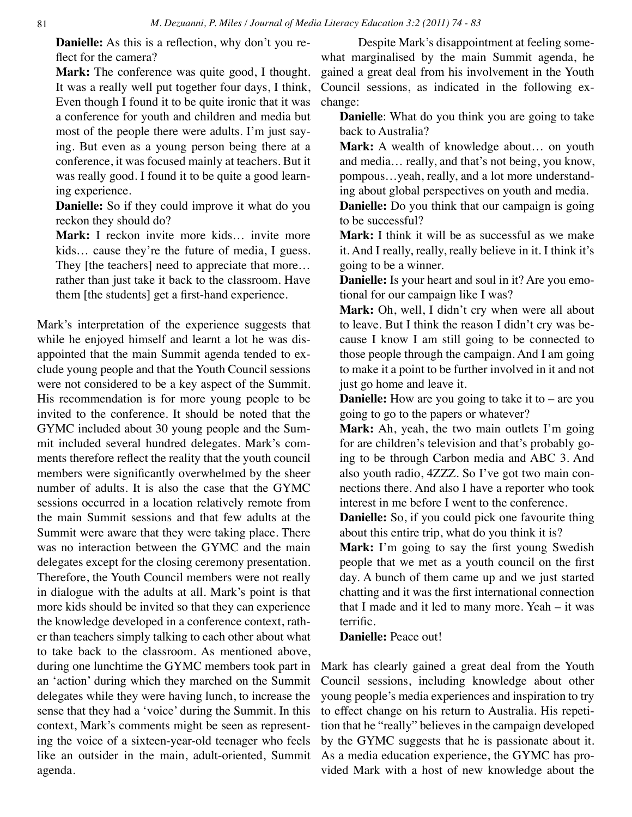**Danielle:** As this is a reflection, why don't you reflect for the camera?

**Mark:** The conference was quite good, I thought. It was a really well put together four days, I think, Even though I found it to be quite ironic that it was a conference for youth and children and media but most of the people there were adults. I'm just saying. But even as a young person being there at a conference, it was focused mainly at teachers. But it was really good. I found it to be quite a good learning experience.

**Danielle:** So if they could improve it what do you reckon they should do?

**Mark:** I reckon invite more kids… invite more kids… cause they're the future of media, I guess. They [the teachers] need to appreciate that more... rather than just take it back to the classroom. Have them [the students] get a first-hand experience.

Mark's interpretation of the experience suggests that while he enjoyed himself and learnt a lot he was disappointed that the main Summit agenda tended to exclude young people and that the Youth Council sessions were not considered to be a key aspect of the Summit. His recommendation is for more young people to be invited to the conference. It should be noted that the GYMC included about 30 young people and the Summit included several hundred delegates. Mark's comments therefore reflect the reality that the youth council members were significantly overwhelmed by the sheer number of adults. It is also the case that the GYMC sessions occurred in a location relatively remote from the main Summit sessions and that few adults at the Summit were aware that they were taking place. There was no interaction between the GYMC and the main delegates except for the closing ceremony presentation. Therefore, the Youth Council members were not really in dialogue with the adults at all. Mark's point is that more kids should be invited so that they can experience the knowledge developed in a conference context, rather than teachers simply talking to each other about what to take back to the classroom. As mentioned above, during one lunchtime the GYMC members took part in an 'action' during which they marched on the Summit delegates while they were having lunch, to increase the sense that they had a 'voice' during the Summit. In this context, Mark's comments might be seen as representing the voice of a sixteen-year-old teenager who feels like an outsider in the main, adult-oriented, Summit agenda.

Despite Mark's disappointment at feeling somewhat marginalised by the main Summit agenda, he gained a great deal from his involvement in the Youth Council sessions, as indicated in the following exchange:

**Danielle**: What do you think you are going to take back to Australia?

**Mark:** A wealth of knowledge about… on youth and media… really, and that's not being, you know, pompous…yeah, really, and a lot more understanding about global perspectives on youth and media.

**Danielle:** Do you think that our campaign is going to be successful?

**Mark:** I think it will be as successful as we make it. And I really, really, really believe in it. I think it's going to be a winner.

**Danielle:** Is your heart and soul in it? Are you emotional for our campaign like I was?

**Mark:** Oh, well, I didn't cry when were all about to leave. But I think the reason I didn't cry was because I know I am still going to be connected to those people through the campaign. And I am going to make it a point to be further involved in it and not just go home and leave it.

**Danielle:** How are you going to take it to – are you going to go to the papers or whatever?

**Mark:** Ah, yeah, the two main outlets I'm going for are children's television and that's probably going to be through Carbon media and ABC 3. And also youth radio, 4ZZZ. So I've got two main connections there. And also I have a reporter who took interest in me before I went to the conference.

**Danielle:** So, if you could pick one favourite thing about this entire trip, what do you think it is?

**Mark:** I'm going to say the first young Swedish people that we met as a youth council on the first day. A bunch of them came up and we just started chatting and it was the first international connection that I made and it led to many more. Yeah – it was terrific.

**Danielle:** Peace out!

Mark has clearly gained a great deal from the Youth Council sessions, including knowledge about other young people's media experiences and inspiration to try to effect change on his return to Australia. His repetition that he "really" believes in the campaign developed by the GYMC suggests that he is passionate about it. As a media education experience, the GYMC has provided Mark with a host of new knowledge about the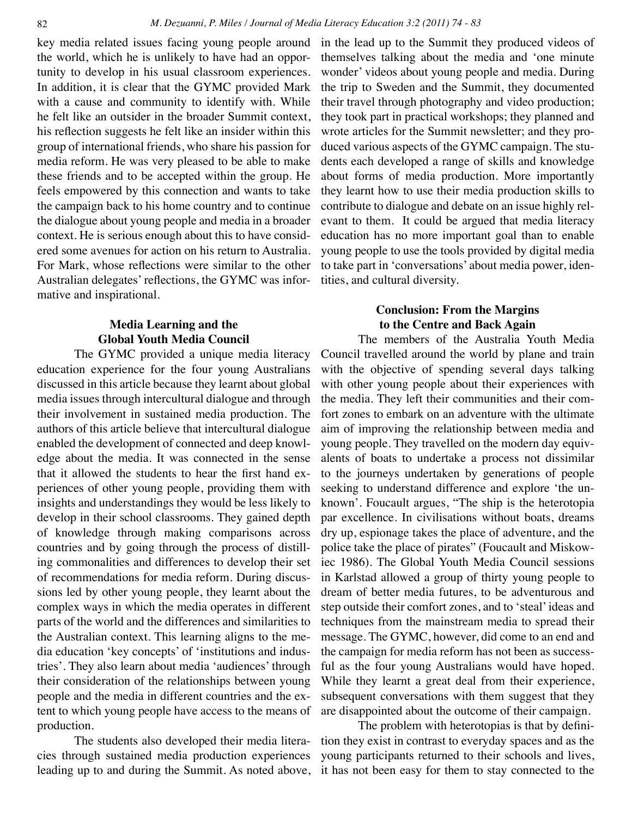key media related issues facing young people around the world, which he is unlikely to have had an opportunity to develop in his usual classroom experiences. In addition, it is clear that the GYMC provided Mark with a cause and community to identify with. While he felt like an outsider in the broader Summit context, his reflection suggests he felt like an insider within this group of international friends, who share his passion for media reform. He was very pleased to be able to make these friends and to be accepted within the group. He feels empowered by this connection and wants to take the campaign back to his home country and to continue the dialogue about young people and media in a broader context. He is serious enough about this to have considered some avenues for action on his return to Australia. For Mark, whose reflections were similar to the other Australian delegates' reflections, the GYMC was informative and inspirational.

## **Media Learning and the Global Youth Media Council**

The GYMC provided a unique media literacy education experience for the four young Australians discussed in this article because they learnt about global media issues through intercultural dialogue and through their involvement in sustained media production. The authors of this article believe that intercultural dialogue enabled the development of connected and deep knowledge about the media. It was connected in the sense that it allowed the students to hear the first hand experiences of other young people, providing them with insights and understandings they would be less likely to develop in their school classrooms. They gained depth of knowledge through making comparisons across countries and by going through the process of distilling commonalities and differences to develop their set of recommendations for media reform. During discussions led by other young people, they learnt about the complex ways in which the media operates in different parts of the world and the differences and similarities to the Australian context. This learning aligns to the media education 'key concepts' of 'institutions and industries'. They also learn about media 'audiences' through their consideration of the relationships between young people and the media in different countries and the extent to which young people have access to the means of production.

The students also developed their media literacies through sustained media production experiences leading up to and during the Summit. As noted above, in the lead up to the Summit they produced videos of themselves talking about the media and 'one minute wonder' videos about young people and media. During the trip to Sweden and the Summit, they documented their travel through photography and video production; they took part in practical workshops; they planned and wrote articles for the Summit newsletter; and they produced various aspects of the GYMC campaign. The students each developed a range of skills and knowledge about forms of media production. More importantly they learnt how to use their media production skills to contribute to dialogue and debate on an issue highly relevant to them. It could be argued that media literacy education has no more important goal than to enable young people to use the tools provided by digital media to take part in 'conversations' about media power, identities, and cultural diversity.

## **Conclusion: From the Margins to the Centre and Back Again**

The members of the Australia Youth Media Council travelled around the world by plane and train with the objective of spending several days talking with other young people about their experiences with the media. They left their communities and their comfort zones to embark on an adventure with the ultimate aim of improving the relationship between media and young people. They travelled on the modern day equivalents of boats to undertake a process not dissimilar to the journeys undertaken by generations of people seeking to understand difference and explore 'the unknown'. Foucault argues, "The ship is the heterotopia par excellence. In civilisations without boats, dreams dry up, espionage takes the place of adventure, and the police take the place of pirates" (Foucault and Miskowiec 1986). The Global Youth Media Council sessions in Karlstad allowed a group of thirty young people to dream of better media futures, to be adventurous and step outside their comfort zones, and to 'steal' ideas and techniques from the mainstream media to spread their message. The GYMC, however, did come to an end and the campaign for media reform has not been as successful as the four young Australians would have hoped. While they learnt a great deal from their experience, subsequent conversations with them suggest that they are disappointed about the outcome of their campaign.

The problem with heterotopias is that by definition they exist in contrast to everyday spaces and as the young participants returned to their schools and lives, it has not been easy for them to stay connected to the